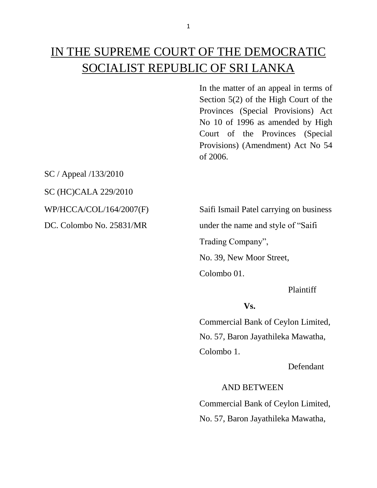In the matter of an appeal in terms of Section 5(2) of the High Court of the Provinces (Special Provisions) Act No 10 of 1996 as amended by High Court of the Provinces (Special Provisions) (Amendment) Act No 54 of 2006.

SC / Appeal /133/2010

SC (HC)CALA 229/2010

WP/HCCA/COL/164/2007(F) Saifi Ismail Patel carrying on business DC. Colombo No. 25831/MR under the name and style of "Saifi Trading Company", No. 39, New Moor Street, Colombo 01.

Plaintiff

# **Vs.**

Commercial Bank of Ceylon Limited, No. 57, Baron Jayathileka Mawatha, Colombo 1.

Defendant

AND BETWEEN

Commercial Bank of Ceylon Limited, No. 57, Baron Jayathileka Mawatha,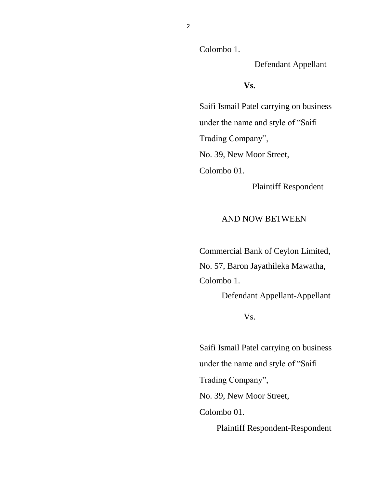Colombo 1.

Defendant Appellant

**Vs.**

Saifi Ismail Patel carrying on business under the name and style of "Saifi Trading Company", No. 39, New Moor Street, Colombo 01.

Plaintiff Respondent

#### AND NOW BETWEEN

Commercial Bank of Ceylon Limited, No. 57, Baron Jayathileka Mawatha, Colombo 1.

Defendant Appellant-Appellant

Vs.

Saifi Ismail Patel carrying on business under the name and style of "Saifi Trading Company", No. 39, New Moor Street, Colombo 01. Plaintiff Respondent-Respondent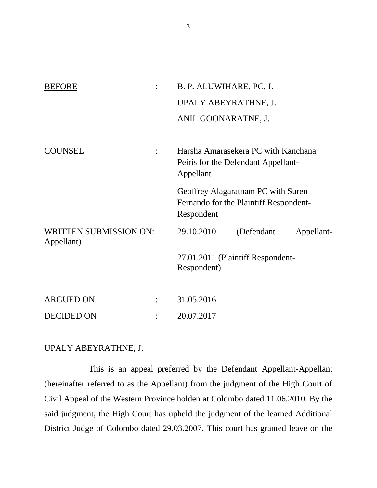| <b>BEFORE</b>                               |   | B. P. ALUWIHARE, PC, J.                                                                    |
|---------------------------------------------|---|--------------------------------------------------------------------------------------------|
|                                             |   | UPALY ABEYRATHNE, J.                                                                       |
|                                             |   | ANIL GOONARATNE, J.                                                                        |
| COUNSEL                                     | ÷ | Harsha Amarasekera PC with Kanchana<br>Peiris for the Defendant Appellant-<br>Appellant    |
|                                             |   |                                                                                            |
|                                             |   | Geoffrey Alagaratnam PC with Suren<br>Fernando for the Plaintiff Respondent-<br>Respondent |
| <b>WRITTEN SUBMISSION ON:</b><br>Appellant) |   | 29.10.2010<br>(Defendant<br>Appellant-                                                     |
|                                             |   | 27.01.2011 (Plaintiff Respondent-<br>Respondent)                                           |
| <b>ARGUED ON</b>                            |   | 31.05.2016                                                                                 |
| <b>DECIDED ON</b>                           |   | 20.07.2017                                                                                 |
|                                             |   |                                                                                            |

## UPALY ABEYRATHNE, J.

This is an appeal preferred by the Defendant Appellant-Appellant (hereinafter referred to as the Appellant) from the judgment of the High Court of Civil Appeal of the Western Province holden at Colombo dated 11.06.2010. By the said judgment, the High Court has upheld the judgment of the learned Additional District Judge of Colombo dated 29.03.2007. This court has granted leave on the

3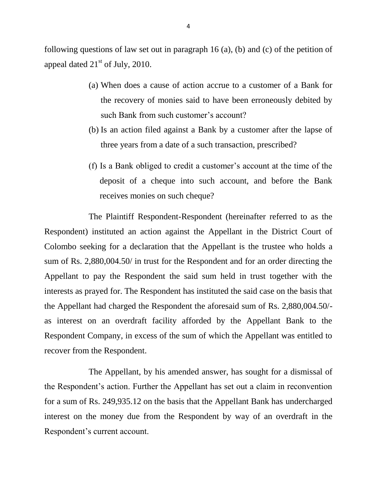following questions of law set out in paragraph 16 (a), (b) and (c) of the petition of appeal dated  $21<sup>st</sup>$  of July, 2010.

- (a) When does a cause of action accrue to a customer of a Bank for the recovery of monies said to have been erroneously debited by such Bank from such customer's account?
- (b) Is an action filed against a Bank by a customer after the lapse of three years from a date of a such transaction, prescribed?
- (f) Is a Bank obliged to credit a customer's account at the time of the deposit of a cheque into such account, and before the Bank receives monies on such cheque?

The Plaintiff Respondent-Respondent (hereinafter referred to as the Respondent) instituted an action against the Appellant in the District Court of Colombo seeking for a declaration that the Appellant is the trustee who holds a sum of Rs. 2,880,004.50/ in trust for the Respondent and for an order directing the Appellant to pay the Respondent the said sum held in trust together with the interests as prayed for. The Respondent has instituted the said case on the basis that the Appellant had charged the Respondent the aforesaid sum of Rs. 2,880,004.50/ as interest on an overdraft facility afforded by the Appellant Bank to the Respondent Company, in excess of the sum of which the Appellant was entitled to recover from the Respondent.

The Appellant, by his amended answer, has sought for a dismissal of the Respondent's action. Further the Appellant has set out a claim in reconvention for a sum of Rs. 249,935.12 on the basis that the Appellant Bank has undercharged interest on the money due from the Respondent by way of an overdraft in the Respondent's current account.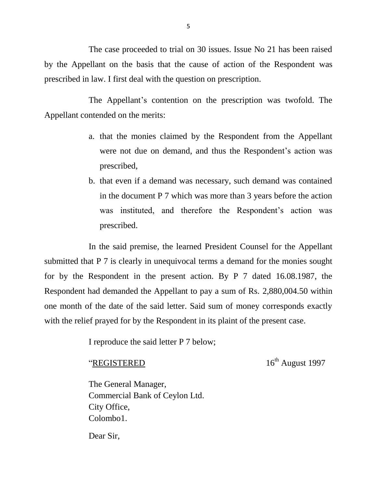The case proceeded to trial on 30 issues. Issue No 21 has been raised by the Appellant on the basis that the cause of action of the Respondent was prescribed in law. I first deal with the question on prescription.

The Appellant's contention on the prescription was twofold. The Appellant contended on the merits:

- a. that the monies claimed by the Respondent from the Appellant were not due on demand, and thus the Respondent's action was prescribed,
- b. that even if a demand was necessary, such demand was contained in the document P 7 which was more than 3 years before the action was instituted, and therefore the Respondent's action was prescribed.

In the said premise, the learned President Counsel for the Appellant submitted that P 7 is clearly in unequivocal terms a demand for the monies sought for by the Respondent in the present action. By P 7 dated 16.08.1987, the Respondent had demanded the Appellant to pay a sum of Rs. 2,880,004.50 within one month of the date of the said letter. Said sum of money corresponds exactly with the relief prayed for by the Respondent in its plaint of the present case.

I reproduce the said letter P 7 below;

"REGISTERED  $16^{th}$  August 1997

The General Manager, Commercial Bank of Ceylon Ltd. City Office, Colombo1.

Dear Sir,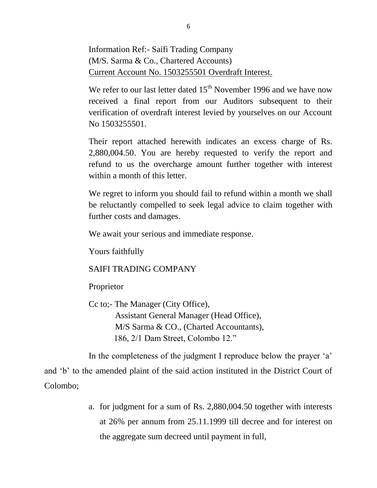Information Ref:- Saifi Trading Company (M/S. Sarma & Co., Chartered Accounts) Current Account No. 1503255501 Overdraft Interest.

We refer to our last letter dated  $15<sup>th</sup>$  November 1996 and we have now received a final report from our Auditors subsequent to their verification of overdraft interest levied by yourselves on our Account No 1503255501.

Their report attached herewith indicates an excess charge of Rs. 2,880,004.50. You are hereby requested to verify the report and refund to us the overcharge amount further together with interest within a month of this letter.

We regret to inform you should fail to refund within a month we shall be reluctantly compelled to seek legal advice to claim together with further costs and damages.

We await your serious and immediate response.

Yours faithfully

## SAIFI TRADING COMPANY

Proprietor

Cc to;- The Manager (City Office), Assistant General Manager (Head Office), M/S Sarma & CO., (Charted Accountants), 186, 2/1 Dam Street, Colombo 12."

In the completeness of the judgment I reproduce below the prayer 'a'

and 'b' to the amended plaint of the said action instituted in the District Court of Colombo;

> a. for judgment for a sum of Rs. 2,880,004.50 together with interests at 26% per annum from 25.11.1999 till decree and for interest on the aggregate sum decreed until payment in full,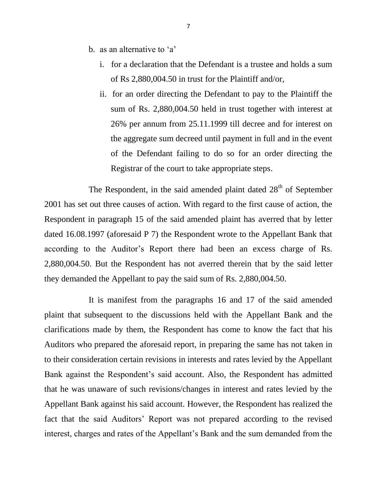- b. as an alternative to 'a'
	- i. for a declaration that the Defendant is a trustee and holds a sum of Rs 2,880,004.50 in trust for the Plaintiff and/or,
	- ii. for an order directing the Defendant to pay to the Plaintiff the sum of Rs. 2,880,004.50 held in trust together with interest at 26% per annum from 25.11.1999 till decree and for interest on the aggregate sum decreed until payment in full and in the event of the Defendant failing to do so for an order directing the Registrar of the court to take appropriate steps.

The Respondent, in the said amended plaint dated 28<sup>th</sup> of September 2001 has set out three causes of action. With regard to the first cause of action, the Respondent in paragraph 15 of the said amended plaint has averred that by letter dated 16.08.1997 (aforesaid P 7) the Respondent wrote to the Appellant Bank that according to the Auditor's Report there had been an excess charge of Rs. 2,880,004.50. But the Respondent has not averred therein that by the said letter they demanded the Appellant to pay the said sum of Rs. 2,880,004.50.

It is manifest from the paragraphs 16 and 17 of the said amended plaint that subsequent to the discussions held with the Appellant Bank and the clarifications made by them, the Respondent has come to know the fact that his Auditors who prepared the aforesaid report, in preparing the same has not taken in to their consideration certain revisions in interests and rates levied by the Appellant Bank against the Respondent's said account. Also, the Respondent has admitted that he was unaware of such revisions/changes in interest and rates levied by the Appellant Bank against his said account. However, the Respondent has realized the fact that the said Auditors' Report was not prepared according to the revised interest, charges and rates of the Appellant's Bank and the sum demanded from the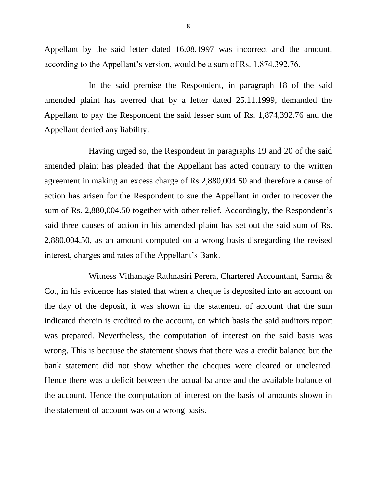Appellant by the said letter dated 16.08.1997 was incorrect and the amount, according to the Appellant's version, would be a sum of Rs. 1,874,392.76.

In the said premise the Respondent, in paragraph 18 of the said amended plaint has averred that by a letter dated 25.11.1999, demanded the Appellant to pay the Respondent the said lesser sum of Rs. 1,874,392.76 and the Appellant denied any liability.

Having urged so, the Respondent in paragraphs 19 and 20 of the said amended plaint has pleaded that the Appellant has acted contrary to the written agreement in making an excess charge of Rs 2,880,004.50 and therefore a cause of action has arisen for the Respondent to sue the Appellant in order to recover the sum of Rs. 2,880,004.50 together with other relief. Accordingly, the Respondent's said three causes of action in his amended plaint has set out the said sum of Rs. 2,880,004.50, as an amount computed on a wrong basis disregarding the revised interest, charges and rates of the Appellant's Bank.

Witness Vithanage Rathnasiri Perera, Chartered Accountant, Sarma & Co., in his evidence has stated that when a cheque is deposited into an account on the day of the deposit, it was shown in the statement of account that the sum indicated therein is credited to the account, on which basis the said auditors report was prepared. Nevertheless, the computation of interest on the said basis was wrong. This is because the statement shows that there was a credit balance but the bank statement did not show whether the cheques were cleared or uncleared. Hence there was a deficit between the actual balance and the available balance of the account. Hence the computation of interest on the basis of amounts shown in the statement of account was on a wrong basis.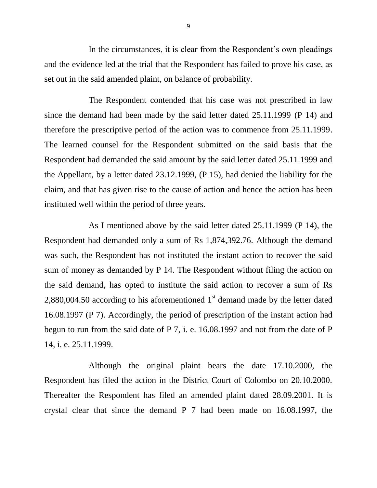In the circumstances, it is clear from the Respondent's own pleadings and the evidence led at the trial that the Respondent has failed to prove his case, as set out in the said amended plaint, on balance of probability.

The Respondent contended that his case was not prescribed in law since the demand had been made by the said letter dated 25.11.1999 (P 14) and therefore the prescriptive period of the action was to commence from 25.11.1999. The learned counsel for the Respondent submitted on the said basis that the Respondent had demanded the said amount by the said letter dated 25.11.1999 and the Appellant, by a letter dated 23.12.1999, (P 15), had denied the liability for the claim, and that has given rise to the cause of action and hence the action has been instituted well within the period of three years.

As I mentioned above by the said letter dated 25.11.1999 (P 14), the Respondent had demanded only a sum of Rs 1,874,392.76. Although the demand was such, the Respondent has not instituted the instant action to recover the said sum of money as demanded by P 14. The Respondent without filing the action on the said demand, has opted to institute the said action to recover a sum of Rs 2,880,004.50 according to his aforementioned  $1<sup>st</sup>$  demand made by the letter dated 16.08.1997 (P 7). Accordingly, the period of prescription of the instant action had begun to run from the said date of P 7, i. e. 16.08.1997 and not from the date of P 14, i. e. 25.11.1999.

Although the original plaint bears the date 17.10.2000, the Respondent has filed the action in the District Court of Colombo on 20.10.2000. Thereafter the Respondent has filed an amended plaint dated 28.09.2001. It is crystal clear that since the demand P 7 had been made on 16.08.1997, the